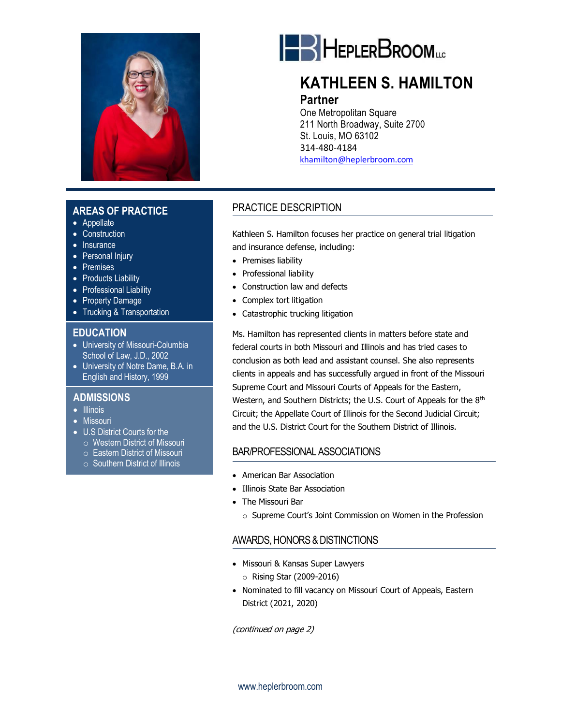

### **AREAS OF PRACTICE**

- Appellate
- Construction
- Insurance
- Personal Injury
- Premises
- Products Liability
- Professional Liability
- Property Damage
- Trucking & Transportation

#### **EDUCATION**

- University of Missouri-Columbia School of Law, J.D., 2002
- University of Notre Dame, B.A. in English and History, 1999

#### • **ADMISSIONS**

- Illinois
- Missouri
- U.S District Courts for the
- o Western District of Missouri
- o Eastern District of Missouri
- o Southern District of Illinois



# **KATHLEEN S. HAMILTON**

### **Partner**

One Metropolitan Square 211 North Broadway, Suite 2700 St. Louis, MO 63102 314-480-4184 [khamilton@heplerbroom.com](file://///hb-pldocs01/pldocs/DOCS/0030/099906/FORMS/khamilton@heplerbroom.com)

### PRACTICE DESCRIPTION

Kathleen S. Hamilton focuses her practice on general trial litigation and insurance defense, including:

- Premises liability
- Professional liability
- Construction law and defects
- Complex tort litigation
- Catastrophic trucking litigation

Ms. Hamilton has represented clients in matters before state and federal courts in both Missouri and Illinois and has tried cases to conclusion as both lead and assistant counsel. She also represents clients in appeals and has successfully argued in front of the Missouri Supreme Court and Missouri Courts of Appeals for the Eastern, Western, and Southern Districts; the U.S. Court of Appeals for the 8<sup>th</sup> Circuit; the Appellate Court of Illinois for the Second Judicial Circuit; and the U.S. District Court for the Southern District of Illinois.

### BAR/PROFESSIONAL ASSOCIATIONS

- American Bar Association
- Illinois State Bar Association
- The Missouri Bar
	- o Supreme Court's Joint Commission on Women in the Profession

### AWARDS, HONORS & DISTINCTIONS

- Missouri & Kansas Super Lawyers
	- o Rising Star (2009-2016)
- Nominated to fill vacancy on Missouri Court of Appeals, Eastern District (2021, 2020)

(continued on page 2)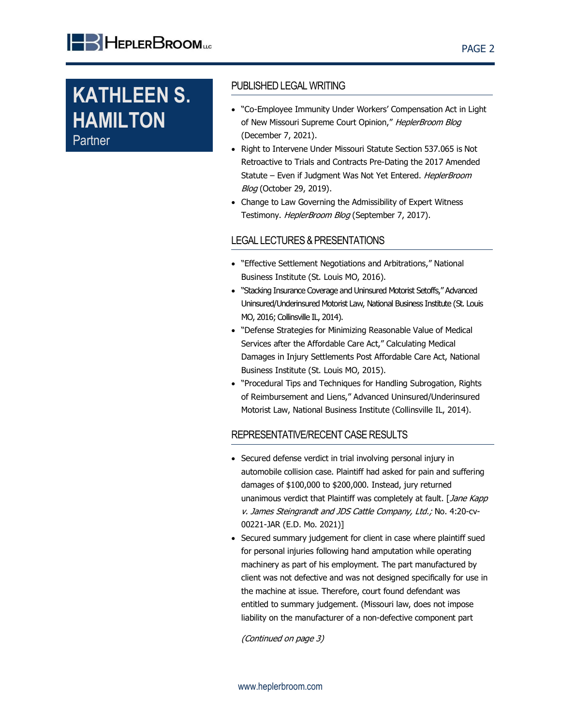**KATHLEEN S. HAMILTON** Partner

#### PUBLISHED LEGAL WRITING

- "Co-Employee Immunity Under Workers' Compensation Act in Light of New Missouri Supreme Court Opinion," HeplerBroom Blog (December 7, 2021).
- Right to Intervene Under Missouri Statute Section 537.065 is Not Retroactive to Trials and Contracts Pre-Dating the 2017 Amended Statute - Even if Judgment Was Not Yet Entered. HeplerBroom **Blog** (October 29, 2019).
- Change to Law Governing the Admissibility of Expert Witness Testimony. HeplerBroom Blog (September 7, 2017).

#### LEGAL LECTURES & PRESENTATIONS

- "Effective Settlement Negotiations and Arbitrations," National Business Institute (St. Louis MO, 2016).
- "Stacking Insurance Coverage and Uninsured Motorist Setoffs," Advanced Uninsured/Underinsured Motorist Law, National Business Institute (St. Louis MO, 2016; Collinsville IL, 2014).
- "Defense Strategies for Minimizing Reasonable Value of Medical Services after the Affordable Care Act," Calculating Medical Damages in Injury Settlements Post Affordable Care Act, National Business Institute (St. Louis MO, 2015).
- "Procedural Tips and Techniques for Handling Subrogation, Rights of Reimbursement and Liens," Advanced Uninsured/Underinsured Motorist Law, National Business Institute (Collinsville IL, 2014).

### REPRESENTATIVE/RECENT CASE RESULTS

- Secured defense verdict in trial involving personal injury in automobile collision case. Plaintiff had asked for pain and suffering damages of \$100,000 to \$200,000. Instead, jury returned unanimous verdict that Plaintiff was completely at fault. [Jane Kapp v. James Steingrandt and JDS Cattle Company, Ltd.; No. 4:20-cv-00221-JAR (E.D. Mo. 2021)]
- Secured summary judgement for client in case where plaintiff sued for personal injuries following hand amputation while operating machinery as part of his employment. The part manufactured by client was not defective and was not designed specifically for use in the machine at issue. Therefore, court found defendant was entitled to summary judgement. (Missouri law, does not impose liability on the manufacturer of a non-defective component part

(Continued on page 3)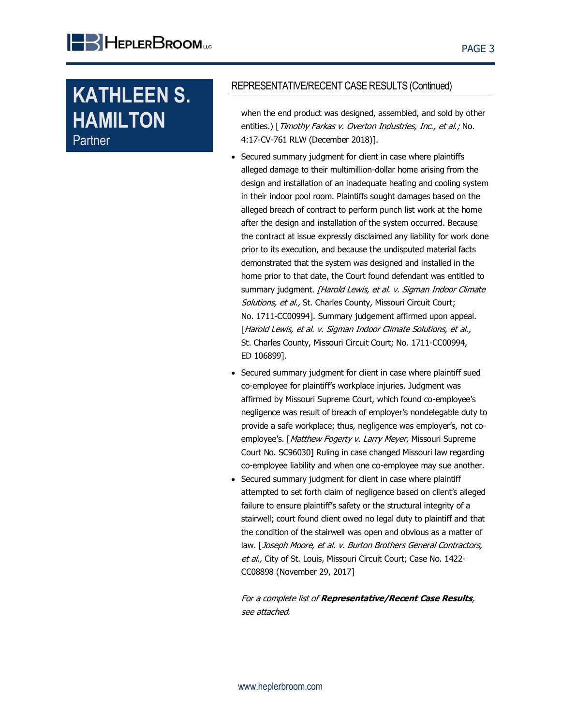**KATHLEEN S. HAMILTON** Partner

#### REPRESENTATIVE/RECENT CASE RESULTS (Continued)

when the end product was designed, assembled, and sold by other entities.) [Timothy Farkas v. Overton Industries, Inc., et al.; No. 4:17-CV-761 RLW (December 2018)].

- Secured summary judgment for client in case where plaintiffs alleged damage to their multimillion-dollar home arising from the design and installation of an inadequate heating and cooling system in their indoor pool room. Plaintiffs sought damages based on the alleged breach of contract to perform punch list work at the home after the design and installation of the system occurred. Because the contract at issue expressly disclaimed any liability for work done prior to its execution, and because the undisputed material facts demonstrated that the system was designed and installed in the home prior to that date, the Court found defendant was entitled to summary judgment. [Harold Lewis, et al. v. Sigman Indoor Climate Solutions, et al., St. Charles County, Missouri Circuit Court; No. 1711-CC00994]. Summary judgement affirmed upon appeal. [Harold Lewis, et al. v. Sigman Indoor Climate Solutions, et al., St. Charles County, Missouri Circuit Court; No. 1711-CC00994, ED 106899].
- Secured summary judgment for client in case where plaintiff sued co-employee for plaintiff's workplace injuries. Judgment was affirmed by Missouri Supreme Court, which found co-employee's negligence was result of breach of employer's nondelegable duty to provide a safe workplace; thus, negligence was employer's, not coemployee's. [Matthew Fogerty v. Larry Meyer, Missouri Supreme Court No. SC96030] Ruling in case changed Missouri law regarding co-employee liability and when one co-employee may sue another.
- Secured summary judgment for client in case where plaintiff attempted to set forth claim of negligence based on client's alleged failure to ensure plaintiff's safety or the structural integrity of a stairwell; court found client owed no legal duty to plaintiff and that the condition of the stairwell was open and obvious as a matter of law. [Joseph Moore, et al. v. Burton Brothers General Contractors, et al., City of St. Louis, Missouri Circuit Court; Case No. 1422-CC08898 (November 29, 2017]

For a complete list of **Representative/Recent Case Results**, see attached.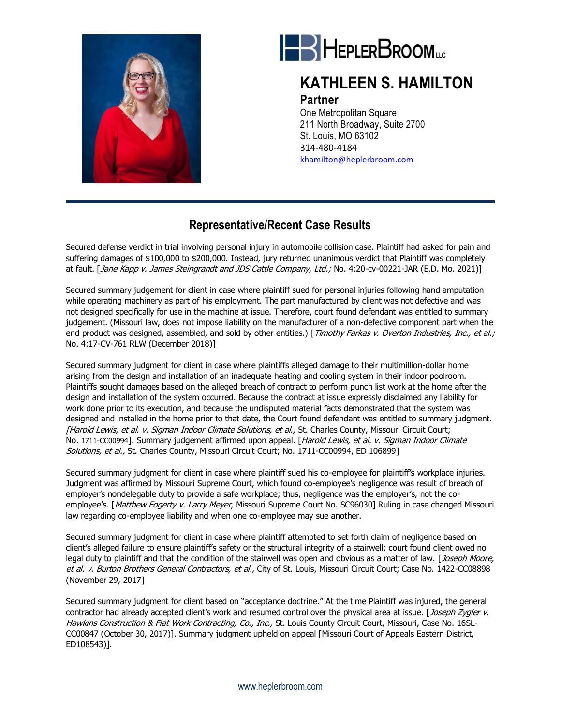



## **KATHLEEN S. HAMILTON**

#### **Partner**

One Metropolitan Square 211 North Broadway, Suite 2700 St. Louis, MO 63102 314-480-4184 [khamilton@heplerbroom.com](file://///hb-pldocs01/pldocs/DOCS/0030/099906/FORMS/khamilton@heplerbroom.com)

## **Representative/Recent Case Results**

Secured defense verdict in trial involving personal injury in automobile collision case. Plaintiff had asked for pain and suffering damages of \$100,000 to \$200,000. Instead, jury returned unanimous verdict that Plaintiff was completely at fault. [Jane Kapp v. James Steingrandt and JDS Cattle Company, Ltd.; No. 4:20-cv-00221-JAR (E.D. Mo. 2021)]

Secured summary judgement for client in case where plaintiff sued for personal injuries following hand amputation while operating machinery as part of his employment. The part manufactured by client was not defective and was not designed specifically for use in the machine at issue. Therefore, court found defendant was entitled to summary judgement. (Missouri law, does not impose liability on the manufacturer of a non-defective component part when the end product was designed, assembled, and sold by other entities.) [Timothy Farkas v. Overton Industries, Inc., et al.; No. 4:17-CV-761 RLW (December 2018)]

Secured summary judgment for client in case where plaintiffs alleged damage to their multimillion-dollar home arising from the design and installation of an inadequate heating and cooling system in their indoor poolroom. Plaintiffs sought damages based on the alleged breach of contract to perform punch list work at the home after the design and installation of the system occurred. Because the contract at issue expressly disclaimed any liability for work done prior to its execution, and because the undisputed material facts demonstrated that the system was designed and installed in the home prior to that date, the Court found defendant was entitled to summary judgment. [Harold Lewis, et al. v. Sigman Indoor Climate Solutions, et al., St. Charles County, Missouri Circuit Court; No. 1711-CC00994]. Summary judgement affirmed upon appeal. [Harold Lewis, et al. v. Sigman Indoor Climate Solutions, et al., St. Charles County, Missouri Circuit Court; No. 1711-CC00994, ED 106899]

Secured summary judgment for client in case where plaintiff sued his co-employee for plaintiff's workplace injuries. Judgment was affirmed by Missouri Supreme Court, which found co-employee's negligence was result of breach of employer's nondelegable duty to provide a safe workplace; thus, negligence was the employer's, not the coemployee's. [Matthew Fogerty v. Larry Meyer, Missouri Supreme Court No. SC96030] Ruling in case changed Missouri law regarding co-employee liability and when one co-employee may sue another.

Secured summary judgment for client in case where plaintiff attempted to set forth claim of negligence based on client's alleged failure to ensure plaintiff's safety or the structural integrity of a stairwell; court found client owed no legal duty to plaintiff and that the condition of the stairwell was open and obvious as a matter of law. [Joseph Moore, et al. v. Burton Brothers General Contractors, et al., City of St. Louis, Missouri Circuit Court; Case No. 1422-CC08898 (November 29, 2017]

Secured summary judgment for client based on "acceptance doctrine." At the time Plaintiff was injured, the general contractor had already accepted client's work and resumed control over the physical area at issue. [Joseph Zygler v. Hawkins Construction & Flat Work Contracting, Co., Inc., St. Louis County Circuit Court, Missouri, Case No. 16SL-CC00847 (October 30, 2017)]. Summary judgment upheld on appeal [Missouri Court of Appeals Eastern District, ED108543)].